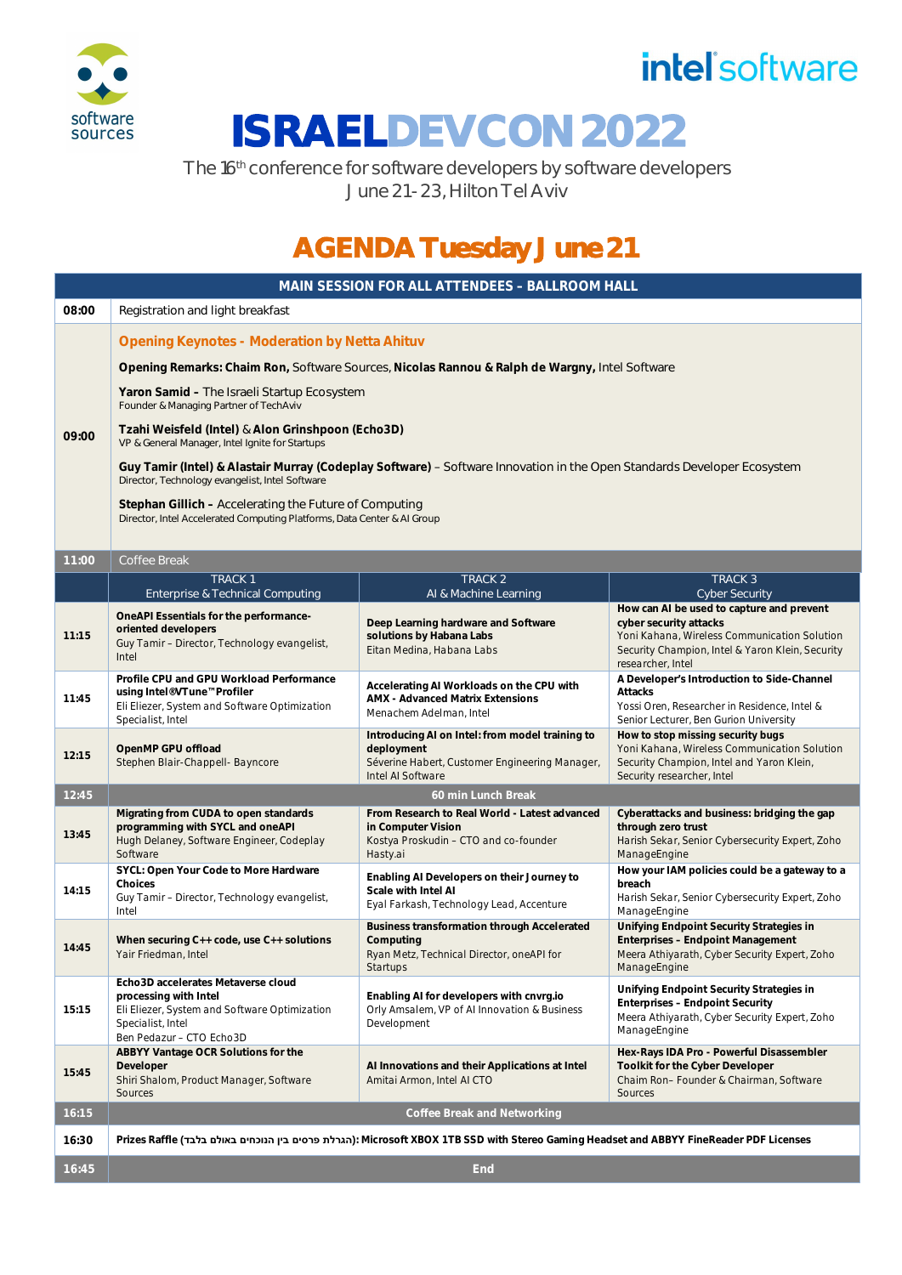

## *intel* software

# **ISRAELDEVCON 2022**

The 16<sup>th</sup> conference for software developers by software developers June 21 - 23, Hilton Tel Aviv

### **AGENDA Tuesday June 21**

| MAIN SESSION FOR ALL ATTENDEES - BALLROOM HALL |                                                                                                                                                               |                                                                                                                                      |                                                                                                                                                              |  |
|------------------------------------------------|---------------------------------------------------------------------------------------------------------------------------------------------------------------|--------------------------------------------------------------------------------------------------------------------------------------|--------------------------------------------------------------------------------------------------------------------------------------------------------------|--|
| 08:00                                          | Registration and light breakfast                                                                                                                              |                                                                                                                                      |                                                                                                                                                              |  |
|                                                | <b>Opening Keynotes - Moderation by Netta Ahituv</b>                                                                                                          |                                                                                                                                      |                                                                                                                                                              |  |
|                                                |                                                                                                                                                               | Opening Remarks: Chaim Ron, Software Sources, Nicolas Rannou & Ralph de Wargny, Intel Software                                       |                                                                                                                                                              |  |
|                                                | Yaron Samid - The Israeli Startup Ecosystem<br>Founder & Managing Partner of TechAviv                                                                         |                                                                                                                                      |                                                                                                                                                              |  |
| 09:00                                          | Tzahi Weisfeld (Intel) & Alon Grinshpoon (Echo3D)<br>VP & General Manager, Intel Ignite for Startups                                                          |                                                                                                                                      |                                                                                                                                                              |  |
|                                                | Director, Technology evangelist, Intel Software                                                                                                               | Guy Tamir (Intel) & Alastair Murray (Codeplay Software) - Software Innovation in the Open Standards Developer Ecosystem              |                                                                                                                                                              |  |
|                                                | Stephan Gillich – Accelerating the Future of Computing<br>Director, Intel Accelerated Computing Platforms, Data Center & Al Group                             |                                                                                                                                      |                                                                                                                                                              |  |
| 11:00                                          | Coffee Break                                                                                                                                                  |                                                                                                                                      |                                                                                                                                                              |  |
|                                                | <b>TRACK1</b>                                                                                                                                                 | <b>TRACK 2</b>                                                                                                                       | TRACK <sub>3</sub>                                                                                                                                           |  |
|                                                | <b>Enterprise &amp; Technical Computing</b>                                                                                                                   | Al & Machine Learning                                                                                                                | <b>Cyber Security</b><br>How can AI be used to capture and prevent                                                                                           |  |
| 11:15                                          | OneAPI Essentials for the performance-<br>oriented developers<br>Guy Tamir - Director, Technology evangelist,<br>Intel                                        | Deep Learning hardware and Software<br>solutions by Habana Labs<br>Eitan Medina, Habana Labs                                         | cyber security attacks<br>Yoni Kahana, Wireless Communication Solution<br>Security Champion, Intel & Yaron Klein, Security<br>researcher, Intel              |  |
| 11:45                                          | Profile CPU and GPU Workload Performance<br>using Intel® VTune™ Profiler<br>Eli Eliezer, System and Software Optimization<br>Specialist, Intel                | Accelerating AI Workloads on the CPU with<br><b>AMX</b> - Advanced Matrix Extensions<br>Menachem Adelman, Intel                      | A Developer's Introduction to Side-Channel<br>Attacks<br>Yossi Oren, Researcher in Residence, Intel &<br>Senior Lecturer, Ben Gurion University              |  |
| 12:15                                          | OpenMP GPU offload<br>Stephen Blair-Chappell- Bayncore                                                                                                        | Introducing AI on Intel: from model training to<br>deployment<br>Séverine Habert, Customer Engineering Manager,<br>Intel AI Software | How to stop missing security bugs<br>Yoni Kahana, Wireless Communication Solution<br>Security Champion, Intel and Yaron Klein,<br>Security researcher, Intel |  |
| 12:45                                          | 60 min Lunch Break                                                                                                                                            |                                                                                                                                      |                                                                                                                                                              |  |
| 13:45                                          | Migrating from CUDA to open standards<br>programming with SYCL and oneAPI<br>Hugh Delaney, Software Engineer, Codeplay<br>Software                            | From Research to Real World - Latest advanced<br>in Computer Vision<br>Kostya Proskudin - CTO and co-founder<br>Hasty.ai             | Cyberattacks and business: bridging the gap<br>through zero trust<br>Harish Sekar, Senior Cybersecurity Expert, Zoho<br>ManageEngine                         |  |
| 14:15                                          | SYCL: Open Your Code to More Hardware<br>Choices<br>Guy Tamir - Director, Technology evangelist,<br>Intel                                                     | Enabling AI Developers on their Journey to<br>Scale with Intel AI<br>Eyal Farkash, Technology Lead, Accenture                        | How your IAM policies could be a gateway to a<br>breach<br>Harish Sekar, Senior Cybersecurity Expert, Zoho<br>ManageEngine                                   |  |
| 14:45                                          | When securing $C++$ code, use $C++$ solutions<br>Yair Friedman, Intel                                                                                         | <b>Business transformation through Accelerated</b><br>Computing<br>Ryan Metz, Technical Director, oneAPI for<br><b>Startups</b>      | Unifying Endpoint Security Strategies in<br>Enterprises - Endpoint Management<br>Meera Athiyarath, Cyber Security Expert, Zoho<br>ManageEngine               |  |
| 15:15                                          | Echo3D accelerates Metaverse cloud<br>processing with Intel<br>Eli Eliezer, System and Software Optimization<br>Specialist, Intel<br>Ben Pedazur - CTO Echo3D | Enabling AI for developers with cnyrg.io<br>Orly Amsalem, VP of AI Innovation & Business<br>Development                              | Unifying Endpoint Security Strategies in<br>Enterprises - Endpoint Security<br>Meera Athiyarath, Cyber Security Expert, Zoho<br>ManageEngine                 |  |
| 15:45                                          | ABBYY Vantage OCR Solutions for the<br>Developer<br>Shiri Shalom, Product Manager, Software<br>Sources                                                        | Al Innovations and their Applications at Intel<br>Amitai Armon, Intel AI CTO                                                         | Hex-Rays IDA Pro - Powerful Disassembler<br>Toolkit for the Cyber Developer<br>Chaim Ron- Founder & Chairman, Software<br>Sources                            |  |
| 16:15                                          | Coffee Break and Networking                                                                                                                                   |                                                                                                                                      |                                                                                                                                                              |  |
| 16:30                                          | Prizes Raffle (הגרלת פרסים בין הנוכחים באולם בלבד): Microsoft XBOX 1TB SSD with Stereo Gaming Headset and ABBYY FineReader PDF Licenses                       |                                                                                                                                      |                                                                                                                                                              |  |
| 16:45                                          |                                                                                                                                                               | <b>End</b>                                                                                                                           |                                                                                                                                                              |  |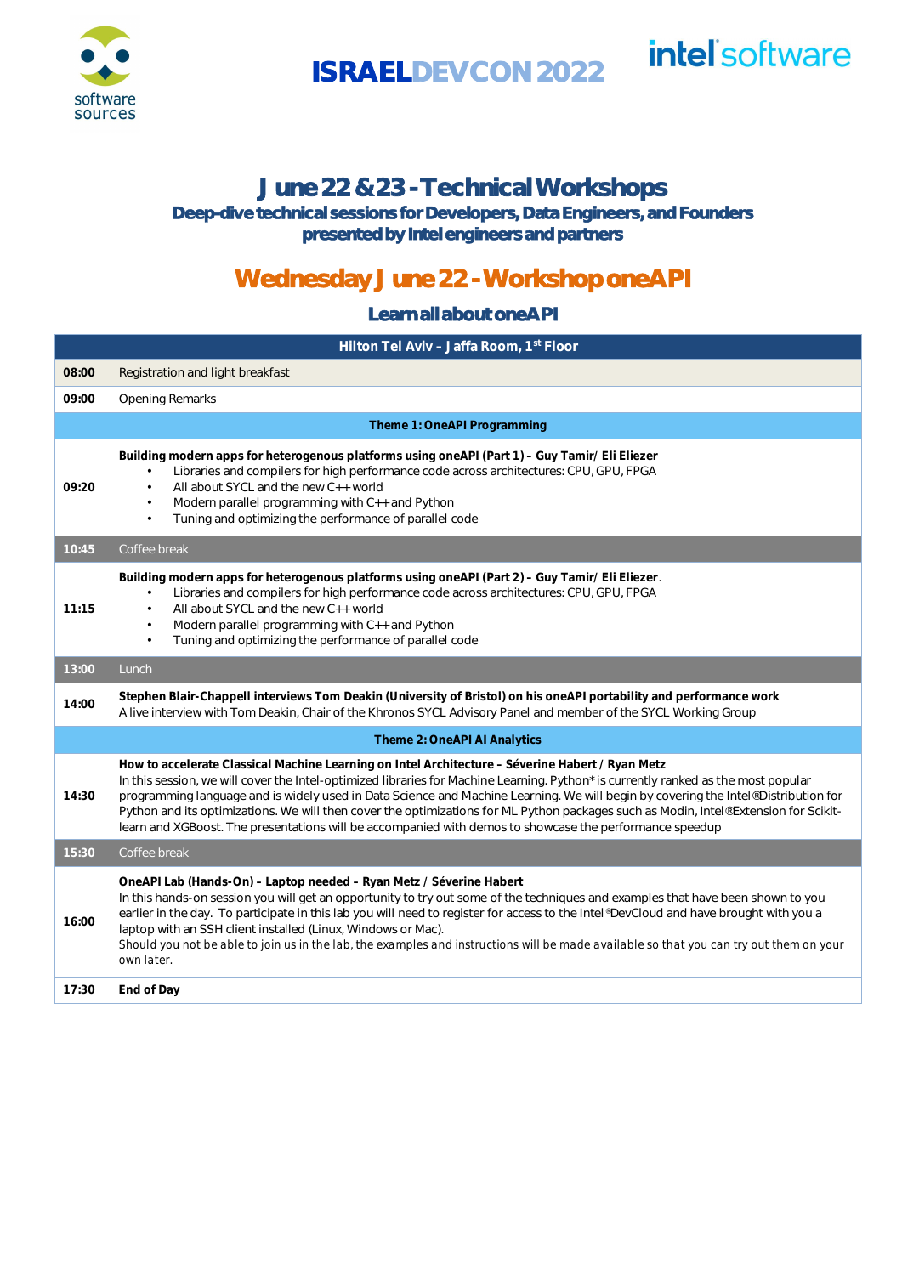

**ISRAELDEVCON 2022**

# *intel software*

#### **June 22 & 23 - Technical Workshops**

**Deep-dive technical sessions for Developers, Data Engineers, and Founders presented by Intel engineers and partners**

### **Wednesday June 22 - Workshop oneAPI**

**Learn all about oneAPI**

|                              | Hilton Tel Aviv - Jaffa Room, 1st Floor                                                                                                                                                                                                                                                                                                                                                                                                                                                                                                                                                                                           |  |  |
|------------------------------|-----------------------------------------------------------------------------------------------------------------------------------------------------------------------------------------------------------------------------------------------------------------------------------------------------------------------------------------------------------------------------------------------------------------------------------------------------------------------------------------------------------------------------------------------------------------------------------------------------------------------------------|--|--|
| 08:00                        | Registration and light breakfast                                                                                                                                                                                                                                                                                                                                                                                                                                                                                                                                                                                                  |  |  |
| 09:00                        | <b>Opening Remarks</b>                                                                                                                                                                                                                                                                                                                                                                                                                                                                                                                                                                                                            |  |  |
| Theme 1: OneAPI Programming  |                                                                                                                                                                                                                                                                                                                                                                                                                                                                                                                                                                                                                                   |  |  |
| 09:20                        | Building modern apps for heterogenous platforms using one API (Part 1) - Guy Tamir/ Eli Eliezer<br>Libraries and compilers for high performance code across architectures: CPU, GPU, FPGA<br>All about SYCL and the new C++ world<br>Modern parallel programming with C++ and Python<br>$\cdot$<br>Tuning and optimizing the performance of parallel code                                                                                                                                                                                                                                                                         |  |  |
| 10:45                        | Coffee break                                                                                                                                                                                                                                                                                                                                                                                                                                                                                                                                                                                                                      |  |  |
| 11:15                        | Building modern apps for heterogenous platforms using one API (Part 2) - Guy Tamir/ Eli Eliezer.<br>Libraries and compilers for high performance code across architectures: CPU, GPU, FPGA<br>$\blacksquare$<br>All about SYCL and the new C++ world<br>Modern parallel programming with C++ and Python<br>Tuning and optimizing the performance of parallel code                                                                                                                                                                                                                                                                 |  |  |
| 13:00                        | Lunch                                                                                                                                                                                                                                                                                                                                                                                                                                                                                                                                                                                                                             |  |  |
| 14:00                        | Stephen Blair-Chappell interviews Tom Deakin (University of Bristol) on his oneAPI portability and performance work<br>A live interview with Tom Deakin, Chair of the Khronos SYCL Advisory Panel and member of the SYCL Working Group                                                                                                                                                                                                                                                                                                                                                                                            |  |  |
| Theme 2: OneAPI AI Analytics |                                                                                                                                                                                                                                                                                                                                                                                                                                                                                                                                                                                                                                   |  |  |
| 14:30                        | How to accelerate Classical Machine Learning on Intel Architecture - Séverine Habert / Ryan Metz<br>In this session, we will cover the Intel-optimized libraries for Machine Learning. Python* is currently ranked as the most popular<br>programming language and is widely used in Data Science and Machine Learning. We will begin by covering the Intel® Distribution for<br>Python and its optimizations. We will then cover the optimizations for ML Python packages such as Modin, Intel® Extension for Scikit-<br>learn and XGBoost. The presentations will be accompanied with demos to showcase the performance speedup |  |  |
| 15:30                        | Coffee break                                                                                                                                                                                                                                                                                                                                                                                                                                                                                                                                                                                                                      |  |  |
| 16:00                        | OneAPI Lab (Hands-On) – Laptop needed – Ryan Metz / Séverine Habert<br>In this hands-on session you will get an opportunity to try out some of the techniques and examples that have been shown to you<br>earlier in the day. To participate in this lab you will need to register for access to the Intel® DevCloud and have brought with you a<br>laptop with an SSH client installed (Linux, Windows or Mac).<br>Should you not be able to join us in the lab, the examples and instructions will be made available so that you can try out them on your<br>own later.                                                         |  |  |
| 17:30                        | End of Day                                                                                                                                                                                                                                                                                                                                                                                                                                                                                                                                                                                                                        |  |  |
|                              |                                                                                                                                                                                                                                                                                                                                                                                                                                                                                                                                                                                                                                   |  |  |